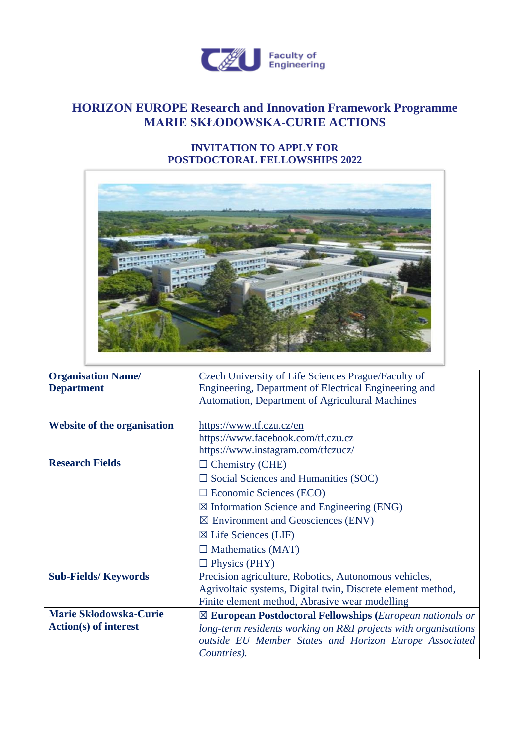

## **HORIZON EUROPE Research and Innovation Framework Programme MARIE SKŁODOWSKA-CURIE ACTIONS**

## **INVITATION TO APPLY FOR POSTDOCTORAL FELLOWSHIPS 2022**



| <b>Organisation Name/</b>          | Czech University of Life Sciences Prague/Faculty of                  |
|------------------------------------|----------------------------------------------------------------------|
| <b>Department</b>                  | Engineering, Department of Electrical Engineering and                |
|                                    | Automation, Department of Agricultural Machines                      |
|                                    |                                                                      |
| <b>Website of the organisation</b> | https://www.tf.czu.cz/en                                             |
|                                    | https://www.facebook.com/tf.czu.cz                                   |
|                                    | https://www.instagram.com/tfczucz/                                   |
| <b>Research Fields</b>             | $\Box$ Chemistry (CHE)                                               |
|                                    | $\square$ Social Sciences and Humanities (SOC)                       |
|                                    | $\square$ Economic Sciences (ECO)                                    |
|                                    | $\boxtimes$ Information Science and Engineering (ENG)                |
|                                    | $\boxtimes$ Environment and Geosciences (ENV)                        |
|                                    | $\boxtimes$ Life Sciences (LIF)                                      |
|                                    | $\Box$ Mathematics (MAT)                                             |
|                                    | $\Box$ Physics (PHY)                                                 |
| <b>Sub-Fields/Keywords</b>         | Precision agriculture, Robotics, Autonomous vehicles,                |
|                                    | Agrivoltaic systems, Digital twin, Discrete element method,          |
|                                    | Finite element method, Abrasive wear modelling                       |
| <b>Marie Skłodowska-Curie</b>      | $\boxtimes$ European Postdoctoral Fellowships (European nationals or |
| <b>Action(s)</b> of interest       | long-term residents working on R&I projects with organisations       |
|                                    | outside EU Member States and Horizon Europe Associated               |
|                                    | Countries).                                                          |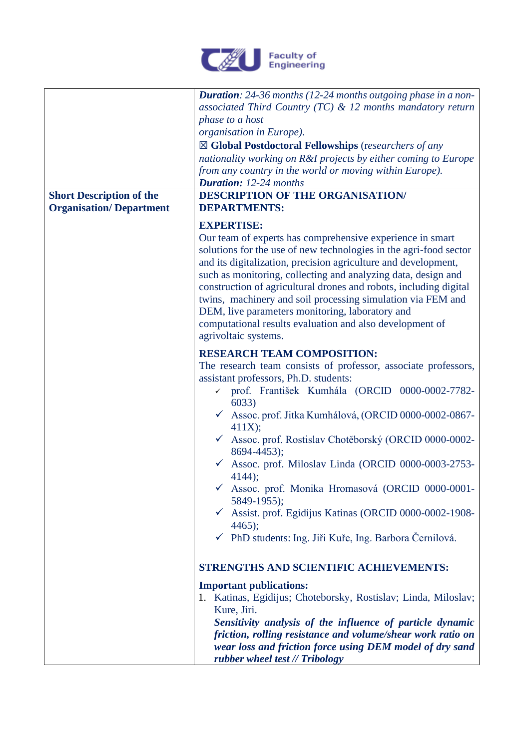

| <b>Short Description of the</b><br><b>Organisation/Department</b> | <b>Duration</b> : $24-36$ months (12-24 months outgoing phase in a non-<br>associated Third Country (TC) $&$ 12 months mandatory return<br>phase to a host<br>organisation in Europe).<br>⊠ Global Postdoctoral Fellowships (researchers of any<br>nationality working on R&I projects by either coming to Europe<br>from any country in the world or moving within Europe).<br><b>Duration:</b> 12-24 months<br><b>DESCRIPTION OF THE ORGANISATION/</b><br><b>DEPARTMENTS:</b>                                                                                                                                                                       |
|-------------------------------------------------------------------|-------------------------------------------------------------------------------------------------------------------------------------------------------------------------------------------------------------------------------------------------------------------------------------------------------------------------------------------------------------------------------------------------------------------------------------------------------------------------------------------------------------------------------------------------------------------------------------------------------------------------------------------------------|
|                                                                   | <b>EXPERTISE:</b><br>Our team of experts has comprehensive experience in smart<br>solutions for the use of new technologies in the agri-food sector<br>and its digitalization, precision agriculture and development,<br>such as monitoring, collecting and analyzing data, design and<br>construction of agricultural drones and robots, including digital<br>twins, machinery and soil processing simulation via FEM and<br>DEM, live parameters monitoring, laboratory and<br>computational results evaluation and also development of                                                                                                             |
|                                                                   | agrivoltaic systems.<br><b>RESEARCH TEAM COMPOSITION:</b><br>The research team consists of professor, associate professors,<br>assistant professors, Ph.D. students:<br>v prof. František Kumhála (ORCID 0000-0002-7782-<br>6033)<br>√ Assoc. prof. Jitka Kumhálová, (ORCID 0000-0002-0867-<br>411X);<br>Assoc. prof. Rostislav Chotěborský (ORCID 0000-0002-<br>8694-4453);<br>Assoc. prof. Miloslav Linda (ORCID 0000-0003-2753-<br>$4144$ ;<br>Assoc. prof. Monika Hromasová (ORCID 0000-0001-<br>5849-1955);<br>Assist. prof. Egidijus Katinas (ORCID 0000-0002-1908-<br>✓<br>$4465$ ;<br>✓ PhD students: Ing. Jiři Kuře, Ing. Barbora Černilová. |
|                                                                   | <b>STRENGTHS AND SCIENTIFIC ACHIEVEMENTS:</b><br><b>Important publications:</b><br>1. Katinas, Egidijus; Choteborsky, Rostislav; Linda, Miloslav;<br>Kure, Jiri.<br>Sensitivity analysis of the influence of particle dynamic<br>friction, rolling resistance and volume/shear work ratio on<br>wear loss and friction force using DEM model of dry sand<br>rubber wheel test // Tribology                                                                                                                                                                                                                                                            |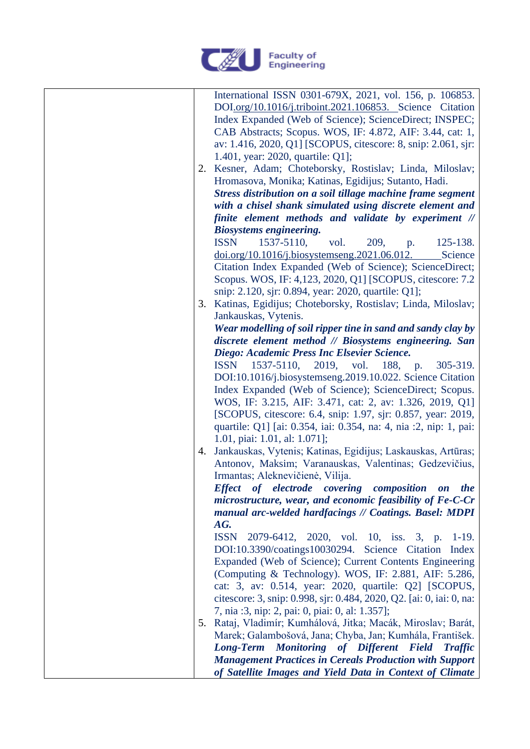

|    | International ISSN 0301-679X, 2021, vol. 156, p. 106853.                    |
|----|-----------------------------------------------------------------------------|
|    | DOI.org/10.1016/j.triboint.2021.106853. Science Citation                    |
|    | Index Expanded (Web of Science); ScienceDirect; INSPEC;                     |
|    | CAB Abstracts; Scopus. WOS, IF: 4.872, AIF: 3.44, cat: 1,                   |
|    | av: 1.416, 2020, Q1] [SCOPUS, citescore: 8, snip: 2.061, sjr:               |
|    | 1.401, year: 2020, quartile: Q1];                                           |
|    | 2. Kesner, Adam; Choteborsky, Rostislav; Linda, Miloslav;                   |
|    | Hromasova, Monika; Katinas, Egidijus; Sutanto, Hadi.                        |
|    | Stress distribution on a soil tillage machine frame segment                 |
|    | with a chisel shank simulated using discrete element and                    |
|    | finite element methods and validate by experiment //                        |
|    | <b>Biosystems engineering.</b>                                              |
|    | <b>ISSN</b><br>1537-5110,<br>209,<br>125-138.<br>vol.<br>p.                 |
|    | $\frac{\text{doi.org}}{10.1016}$ , biosystemseng. 2021.06.012.<br>Science   |
|    | Citation Index Expanded (Web of Science); ScienceDirect;                    |
|    | Scopus. WOS, IF: 4,123, 2020, Q1] [SCOPUS, citescore: 7.2                   |
|    | snip: 2.120, sjr: 0.894, year: 2020, quartile: Q1];                         |
| 3. | Katinas, Egidijus; Choteborsky, Rostislav; Linda, Miloslav;                 |
|    | Jankauskas, Vytenis.                                                        |
|    | Wear modelling of soil ripper tine in sand and sandy clay by                |
|    | discrete element method // Biosystems engineering. San                      |
|    | Diego: Academic Press Inc Elsevier Science.                                 |
|    | <b>ISSN</b><br>$1537 - 5110$ ,<br>2019, vol.<br>188, p.<br>305-319.         |
|    | DOI:10.1016/j.biosystemseng.2019.10.022. Science Citation                   |
|    | Index Expanded (Web of Science); ScienceDirect; Scopus.                     |
|    | WOS, IF: 3.215, AIF: 3.471, cat: 2, av: 1.326, 2019, Q1]                    |
|    | [SCOPUS, citescore: 6.4, snip: 1.97, sjr: 0.857, year: 2019,                |
|    | quartile: Q1] [ai: 0.354, iai: 0.354, na: 4, nia :2, nip: 1, pai:           |
|    | 1.01, piai: 1.01, al: 1.071];                                               |
| 4. | Jankauskas, Vytenis; Katinas, Egidijus; Laskauskas, Artūras;                |
|    | Antonov, Maksim; Varanauskas, Valentinas; Gedzevičius,                      |
|    | Irmantas; Aleknevičienė, Vilija.                                            |
|    | Effect of electrode covering composition<br><i>the</i><br>$\boldsymbol{on}$ |
|    | microstructure, wear, and economic feasibility of Fe-C-Cr                   |
|    | manual arc-welded hardfacings // Coatings. Basel: MDPI                      |
|    | AG.                                                                         |
|    | <b>ISSN</b><br>2079-6412, 2020, vol. 10, iss. 3, p.<br>$1-19.$              |
|    | DOI:10.3390/coatings10030294. Science Citation Index                        |
|    | Expanded (Web of Science); Current Contents Engineering                     |
|    | (Computing & Technology). WOS, IF: 2.881, AIF: 5.286,                       |
|    | cat: 3, av: 0.514, year: 2020, quartile: Q2] [SCOPUS,                       |
|    | citescore: 3, snip: 0.998, sjr: 0.484, 2020, Q2. [ai: 0, iai: 0, na:        |
|    | 7, nia :3, nip: 2, pai: 0, piai: 0, al: 1.357];                             |
| 5. | Rataj, Vladimír; Kumhálová, Jitka; Macák, Miroslav; Barát,                  |
|    | Marek; Galambošová, Jana; Chyba, Jan; Kumhála, František.                   |
|    | Long-Term Monitoring of Different Field Traffic                             |
|    | <b>Management Practices in Cereals Production with Support</b>              |
|    | of Satellite Images and Yield Data in Context of Climate                    |
|    |                                                                             |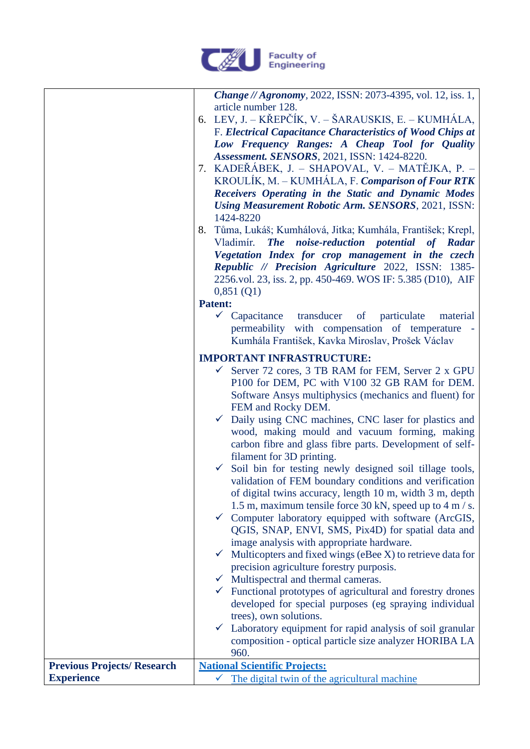

|                                    | <b>Change // Agronomy, 2022, ISSN: 2073-4395, vol. 12, iss. 1,</b><br>article number 128. |
|------------------------------------|-------------------------------------------------------------------------------------------|
|                                    | 6. LEV, J. – KŘEPČÍK, V. – ŠARAUSKIS, E. – KUMHÁLA,                                       |
|                                    |                                                                                           |
|                                    | F. Electrical Capacitance Characteristics of Wood Chips at                                |
|                                    | Low Frequency Ranges: A Cheap Tool for Quality                                            |
|                                    | Assessment. SENSORS, 2021, ISSN: 1424-8220.                                               |
|                                    | 7. KADEŘÁBEK, J. – SHAPOVAL, V. – MATĚJKA, P. –                                           |
|                                    | KROULÍK, M. – KUMHÁLA, F. Comparison of Four RTK                                          |
|                                    | <b>Receivers Operating in the Static and Dynamic Modes</b>                                |
|                                    | <b>Using Measurement Robotic Arm. SENSORS, 2021, ISSN:</b>                                |
|                                    | 1424-8220                                                                                 |
|                                    | Tůma, Lukáš; Kumhálová, Jitka; Kumhála, František; Krepl,<br>8.                           |
|                                    | The noise-reduction potential of Radar<br>Vladimír.                                       |
|                                    | Vegetation Index for crop management in the czech                                         |
|                                    | Republic // Precision Agriculture 2022, ISSN: 1385-                                       |
|                                    | 2256.vol. 23, iss. 2, pp. 450-469. WOS IF: 5.385 (D10), AIF                               |
|                                    | 0,851(Q1)                                                                                 |
|                                    | <b>Patent:</b>                                                                            |
|                                    | $\checkmark$ Capacitance transducer of particulate<br>material                            |
|                                    | permeability with compensation of temperature -                                           |
|                                    | Kumhála František, Kavka Miroslav, Prošek Václav                                          |
|                                    | <b>IMPORTANT INFRASTRUCTURE:</b>                                                          |
|                                    | Server 72 cores, 3 TB RAM for FEM, Server 2 x GPU                                         |
|                                    | P100 for DEM, PC with V100 32 GB RAM for DEM.                                             |
|                                    | Software Ansys multiphysics (mechanics and fluent) for                                    |
|                                    | FEM and Rocky DEM.                                                                        |
|                                    | Daily using CNC machines, CNC laser for plastics and<br>$\checkmark$                      |
|                                    | wood, making mould and vacuum forming, making                                             |
|                                    | carbon fibre and glass fibre parts. Development of self-                                  |
|                                    | filament for 3D printing.                                                                 |
|                                    | $\checkmark$ Soil bin for testing newly designed soil tillage tools,                      |
|                                    | validation of FEM boundary conditions and verification                                    |
|                                    | of digital twins accuracy, length 10 m, width 3 m, depth                                  |
|                                    | 1.5 m, maximum tensile force 30 kN, speed up to 4 m/s.                                    |
|                                    | $\checkmark$ Computer laboratory equipped with software (ArcGIS,                          |
|                                    |                                                                                           |
|                                    | QGIS, SNAP, ENVI, SMS, Pix4D) for spatial data and                                        |
|                                    | image analysis with appropriate hardware.                                                 |
|                                    | Multicopters and fixed wings (eBee X) to retrieve data for                                |
|                                    | precision agriculture forestry purposis.                                                  |
|                                    | $\checkmark$ Multispectral and thermal cameras.                                           |
|                                    | $\checkmark$ Functional prototypes of agricultural and forestry drones                    |
|                                    | developed for special purposes (eg spraying individual                                    |
|                                    | trees), own solutions.                                                                    |
|                                    | Laboratory equipment for rapid analysis of soil granular                                  |
|                                    | composition - optical particle size analyzer HORIBA LA                                    |
|                                    | 960.                                                                                      |
| <b>Previous Projects/ Research</b> | <b>National Scientific Projects:</b>                                                      |
| <b>Experience</b>                  | The digital twin of the agricultural machine                                              |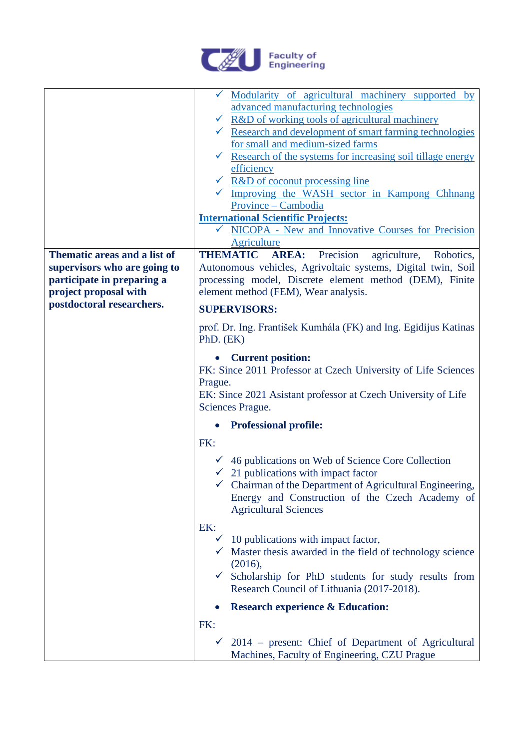

|                              | $\checkmark$ Modularity of agricultural machinery supported by                                                                                                                                                                                                               |
|------------------------------|------------------------------------------------------------------------------------------------------------------------------------------------------------------------------------------------------------------------------------------------------------------------------|
|                              | advanced manufacturing technologies                                                                                                                                                                                                                                          |
|                              | $\sqrt{\phantom{a}$ R&D of working tools of agricultural machinery                                                                                                                                                                                                           |
|                              | $\checkmark$ Research and development of smart farming technologies                                                                                                                                                                                                          |
|                              | for small and medium-sized farms                                                                                                                                                                                                                                             |
|                              | $\checkmark$ Research of the systems for increasing soil tillage energy                                                                                                                                                                                                      |
|                              | efficiency                                                                                                                                                                                                                                                                   |
|                              | $\sqrt{\phantom{a}$ R&D of coconut processing line                                                                                                                                                                                                                           |
|                              | $\checkmark$ Improving the WASH sector in Kampong Chhnang                                                                                                                                                                                                                    |
|                              | Province - Cambodia                                                                                                                                                                                                                                                          |
|                              | <b>International Scientific Projects:</b>                                                                                                                                                                                                                                    |
|                              | $\checkmark$ NICOPA - New and Innovative Courses for Precision                                                                                                                                                                                                               |
|                              | Agriculture                                                                                                                                                                                                                                                                  |
| Thematic areas and a list of | AREA: Precision agriculture, Robotics,<br><b>THEMATIC</b>                                                                                                                                                                                                                    |
| supervisors who are going to | Autonomous vehicles, Agrivoltaic systems, Digital twin, Soil                                                                                                                                                                                                                 |
| participate in preparing a   | processing model, Discrete element method (DEM), Finite                                                                                                                                                                                                                      |
| project proposal with        | element method (FEM), Wear analysis.                                                                                                                                                                                                                                         |
| postdoctoral researchers.    | <b>SUPERVISORS:</b>                                                                                                                                                                                                                                                          |
|                              | prof. Dr. Ing. František Kumhála (FK) and Ing. Egidijus Katinas<br>PhD. (EK)                                                                                                                                                                                                 |
|                              | • Current position:<br>FK: Since 2011 Professor at Czech University of Life Sciences<br>Prague.<br>EK: Since 2021 Asistant professor at Czech University of Life<br>Sciences Prague.                                                                                         |
|                              | <b>Professional profile:</b>                                                                                                                                                                                                                                                 |
|                              | FK:                                                                                                                                                                                                                                                                          |
|                              | $\checkmark$ 46 publications on Web of Science Core Collection<br>$\checkmark$ 21 publications with impact factor<br>$\checkmark$ Chairman of the Department of Agricultural Engineering,<br>Energy and Construction of the Czech Academy of<br><b>Agricultural Sciences</b> |
|                              | EK:                                                                                                                                                                                                                                                                          |
|                              | $\checkmark$ 10 publications with impact factor,<br>$\checkmark$ Master thesis awarded in the field of technology science<br>(2016),                                                                                                                                         |
|                              | $\checkmark$ Scholarship for PhD students for study results from<br>Research Council of Lithuania (2017-2018).                                                                                                                                                               |
|                              | <b>Research experience &amp; Education:</b>                                                                                                                                                                                                                                  |
|                              | FK:                                                                                                                                                                                                                                                                          |
|                              | $\checkmark$ 2014 – present: Chief of Department of Agricultural<br>Machines, Faculty of Engineering, CZU Prague                                                                                                                                                             |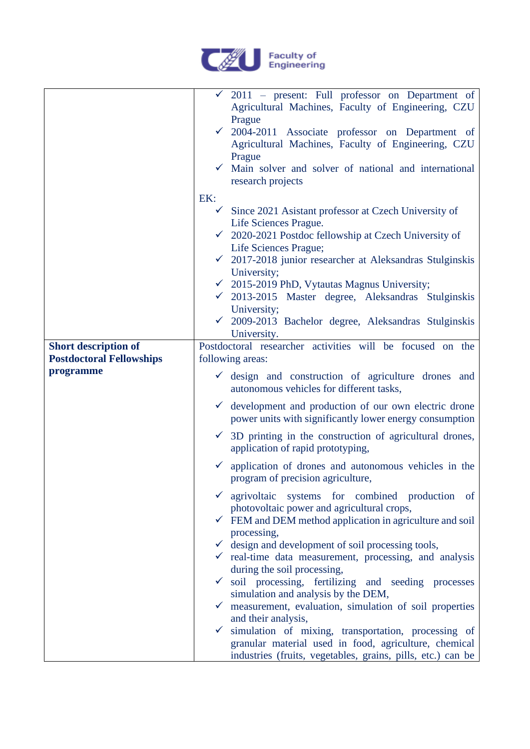

|                                 | $\checkmark$ 2011 – present: Full professor on Department of<br>Agricultural Machines, Faculty of Engineering, CZU<br>Prague<br>$\checkmark$ 2004-2011 Associate professor on Department of<br>Agricultural Machines, Faculty of Engineering, CZU<br>Prague<br>$\checkmark$ Main solver and solver of national and international<br>research projects |
|---------------------------------|-------------------------------------------------------------------------------------------------------------------------------------------------------------------------------------------------------------------------------------------------------------------------------------------------------------------------------------------------------|
|                                 | EK:                                                                                                                                                                                                                                                                                                                                                   |
|                                 | $\checkmark$ Since 2021 Asistant professor at Czech University of                                                                                                                                                                                                                                                                                     |
|                                 | Life Sciences Prague.                                                                                                                                                                                                                                                                                                                                 |
|                                 | $\checkmark$ 2020-2021 Postdoc fellowship at Czech University of<br>Life Sciences Prague;                                                                                                                                                                                                                                                             |
|                                 | $\checkmark$ 2017-2018 junior researcher at Aleksandras Stulginskis                                                                                                                                                                                                                                                                                   |
|                                 | University;                                                                                                                                                                                                                                                                                                                                           |
|                                 | $\checkmark$ 2015-2019 PhD, Vytautas Magnus University;                                                                                                                                                                                                                                                                                               |
|                                 | √ 2013-2015 Master degree, Aleksandras Stulginskis                                                                                                                                                                                                                                                                                                    |
|                                 | University;                                                                                                                                                                                                                                                                                                                                           |
|                                 | $\checkmark$ 2009-2013 Bachelor degree, Aleksandras Stulginskis<br>University.                                                                                                                                                                                                                                                                        |
| <b>Short description of</b>     | Postdoctoral researcher activities will be focused on the                                                                                                                                                                                                                                                                                             |
| <b>Postdoctoral Fellowships</b> | following areas:                                                                                                                                                                                                                                                                                                                                      |
| programme                       |                                                                                                                                                                                                                                                                                                                                                       |
|                                 | $\checkmark$ design and construction of agriculture drones and<br>autonomous vehicles for different tasks,                                                                                                                                                                                                                                            |
|                                 | $\checkmark$ development and production of our own electric drone<br>power units with significantly lower energy consumption                                                                                                                                                                                                                          |
|                                 | $\checkmark$ 3D printing in the construction of agricultural drones,<br>application of rapid prototyping,                                                                                                                                                                                                                                             |
|                                 | application of drones and autonomous vehicles in the<br>program of precision agriculture,                                                                                                                                                                                                                                                             |
|                                 | $\checkmark$ agrivoltaic systems for combined production of<br>photovoltaic power and agricultural crops,                                                                                                                                                                                                                                             |
|                                 | $\checkmark$ FEM and DEM method application in agriculture and soil                                                                                                                                                                                                                                                                                   |
|                                 | processing,<br>$\checkmark$ design and development of soil processing tools,                                                                                                                                                                                                                                                                          |
|                                 | $\checkmark$ real-time data measurement, processing, and analysis<br>during the soil processing,                                                                                                                                                                                                                                                      |
|                                 | $\checkmark$ soil processing, fertilizing and seeding processes<br>simulation and analysis by the DEM,                                                                                                                                                                                                                                                |
|                                 | measurement, evaluation, simulation of soil properties<br>$\checkmark$                                                                                                                                                                                                                                                                                |
|                                 | and their analysis,                                                                                                                                                                                                                                                                                                                                   |
|                                 | simulation of mixing, transportation, processing of<br>✓                                                                                                                                                                                                                                                                                              |
|                                 | granular material used in food, agriculture, chemical                                                                                                                                                                                                                                                                                                 |
|                                 | industries (fruits, vegetables, grains, pills, etc.) can be                                                                                                                                                                                                                                                                                           |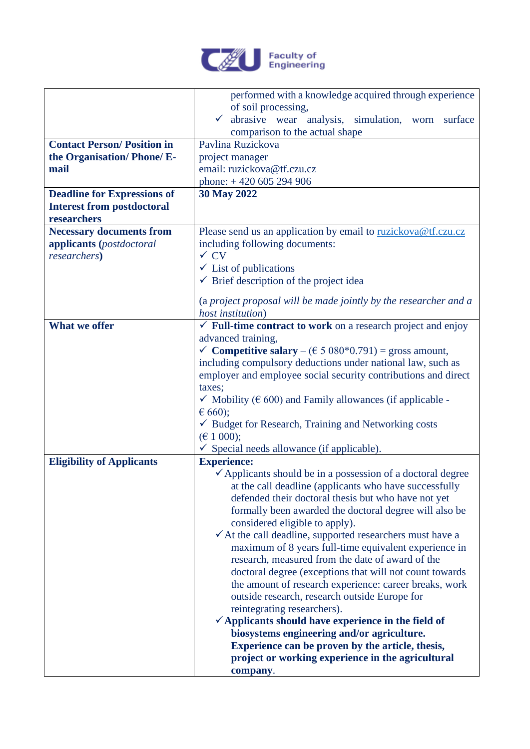

|                                    | performed with a knowledge acquired through experience                                 |
|------------------------------------|----------------------------------------------------------------------------------------|
|                                    | of soil processing,                                                                    |
|                                    | abrasive wear analysis, simulation,<br>$\checkmark$<br>surface<br>worn                 |
|                                    | comparison to the actual shape                                                         |
| <b>Contact Person/ Position in</b> | Pavlina Ruzickova                                                                      |
| the Organisation/Phone/E-          | project manager                                                                        |
| mail                               | email: ruzickova@tf.czu.cz                                                             |
|                                    | phone: +420 605 294 906                                                                |
| <b>Deadline for Expressions of</b> | 30 May 2022                                                                            |
| <b>Interest from postdoctoral</b>  |                                                                                        |
| researchers                        |                                                                                        |
| <b>Necessary documents from</b>    | Please send us an application by email to <u>ruzickova@tf.czu.cz</u>                   |
| applicants (postdoctoral           | including following documents:                                                         |
| <i>researchers</i> )               | $\times$ CV                                                                            |
|                                    | $\checkmark$ List of publications                                                      |
|                                    | $\checkmark$ Brief description of the project idea                                     |
|                                    |                                                                                        |
|                                    | (a project proposal will be made jointly by the researcher and a                       |
|                                    | host institution)                                                                      |
| <b>What we offer</b>               | $\checkmark$ Full-time contract to work on a research project and enjoy                |
|                                    | advanced training,                                                                     |
|                                    | <b>✓ Competitive salary</b> – ( $\in$ 5 080*0.791) = gross amount,                     |
|                                    | including compulsory deductions under national law, such as                            |
|                                    | employer and employee social security contributions and direct                         |
|                                    | taxes;                                                                                 |
|                                    | $\checkmark$ Mobility ( $\check{\epsilon}$ 600) and Family allowances (if applicable - |
|                                    | € 660);                                                                                |
|                                    | $\checkmark$ Budget for Research, Training and Networking costs                        |
|                                    | $(\text{\textsterling} 1 000);$                                                        |
|                                    | $\checkmark$ Special needs allowance (if applicable).                                  |
| <b>Eligibility of Applicants</b>   | <b>Experience:</b>                                                                     |
|                                    | $\checkmark$ Applicants should be in a possession of a doctoral degree                 |
|                                    | at the call deadline (applicants who have successfully                                 |
|                                    | defended their doctoral thesis but who have not yet                                    |
|                                    | formally been awarded the doctoral degree will also be                                 |
|                                    | considered eligible to apply).                                                         |
|                                    | $\checkmark$ At the call deadline, supported researchers must have a                   |
|                                    | maximum of 8 years full-time equivalent experience in                                  |
|                                    | research, measured from the date of award of the                                       |
|                                    | doctoral degree (exceptions that will not count towards                                |
|                                    | the amount of research experience: career breaks, work                                 |
|                                    | outside research, research outside Europe for                                          |
|                                    | reintegrating researchers).                                                            |
|                                    | $\checkmark$ Applicants should have experience in the field of                         |
|                                    | biosystems engineering and/or agriculture.                                             |
|                                    | Experience can be proven by the article, thesis,                                       |
|                                    | project or working experience in the agricultural                                      |
|                                    | company.                                                                               |